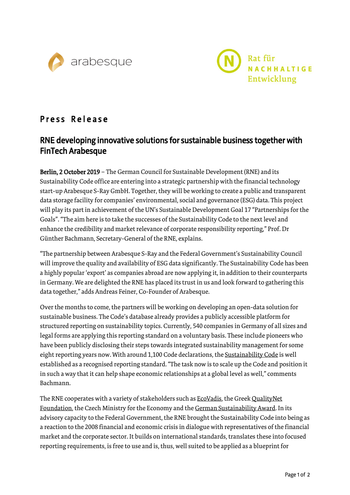



## Press Release

## RNE developing innovative solutions for sustainable business together with FinTech Arabesque

Berlin, 2 October 2019 - The German Council for Sustainable Development (RNE) and its Sustainability Code office are entering into a strategic partnership with the financial technology start-up Arabesque S-RayGmbH. Together, they will be working to create a public and transparent data storage facility for companies' environmental, social and governance (ESG) data. This project will play its part in achievement of the UN's Sustainable Development Goal 17 "Partnerships for the Goals"."The aim here is to take the successes of the Sustainability Code to the next level and enhance the credibility and market relevance of corporate responsibility reporting," Prof. Dr Günther Bachmann, Secretary-General of the RNE, explains.

"The partnership between Arabesque S-Ray and the Federal Government's Sustainability Council will improve the quality and availability of ESG data significantly. The Sustainability Code has been a highly popular'export' as companies abroad are now applying it, in addition to their counterparts in Germany. We are delighted the RNE has placed its trust in us and look forward to gathering this data together," adds Andreas Feiner, Co-Founder of Arabesque.

Over the months to come, the partners will be working on developing an open-data solution for sustainable business. The Code's database already provides a publicly accessible platform for structured reporting on sustainability topics. Currently, 540 companies in Germany of all sizes and legal forms are applying this reporting standard on a voluntary basis. These include pioneers who have been publicly disclosing their steps towards integrated sustainability management for some eight reporting years now. With around 1,100 Code declarations, the [Sustainability](https://www.deutscher-nachhaltigkeitskodex.de/en-gb/) Code is well established as a recognised reporting standard."The task now is to scale up the Code and position it in such a way that it can help shape economic relationships at a global level as well," comments Bachmann.

The RNE cooperates with a variety of stakeholders such as [EcoVadis,](https://www.deutscher-nachhaltigkeitskodex.de/en-GB/Documents/PDFs/Sustainability-Code/The_Sustainability_Code_and_EcoVadis_____Practical.aspx) the Greek [QualityNet](https://greekcode.sustainablegreece2020.com/) [Foundation,](https://greekcode.sustainablegreece2020.com/) the Czech Ministry for the Economy and the German [Sustainability](https://www.nachhaltigkeitspreis.de/en/) Award. In its advisory capacity to the Federal Government, the RNE brought the Sustainability Code into being as a reaction to the 2008 financial and economic crisis in dialogue with representatives of the financial market and the corporate sector. It builds on international standards, translates these into focused reporting requirements, is free to use and is, thus, well suited to be applied as a blueprint for